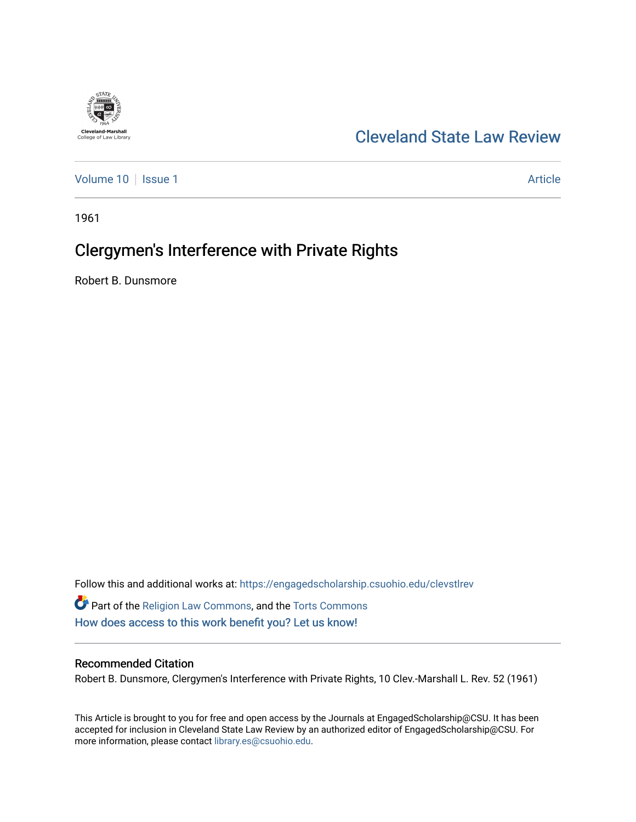

# [Cleveland State Law Review](https://engagedscholarship.csuohio.edu/clevstlrev)

[Volume 10](https://engagedscholarship.csuohio.edu/clevstlrev/vol10) | [Issue 1](https://engagedscholarship.csuohio.edu/clevstlrev/vol10/iss1) Article

1961

# Clergymen's Interference with Private Rights

Robert B. Dunsmore

Follow this and additional works at: [https://engagedscholarship.csuohio.edu/clevstlrev](https://engagedscholarship.csuohio.edu/clevstlrev?utm_source=engagedscholarship.csuohio.edu%2Fclevstlrev%2Fvol10%2Fiss1%2F8&utm_medium=PDF&utm_campaign=PDFCoverPages) Part of the [Religion Law Commons](http://network.bepress.com/hgg/discipline/872?utm_source=engagedscholarship.csuohio.edu%2Fclevstlrev%2Fvol10%2Fiss1%2F8&utm_medium=PDF&utm_campaign=PDFCoverPages), and the [Torts Commons](http://network.bepress.com/hgg/discipline/913?utm_source=engagedscholarship.csuohio.edu%2Fclevstlrev%2Fvol10%2Fiss1%2F8&utm_medium=PDF&utm_campaign=PDFCoverPages) [How does access to this work benefit you? Let us know!](http://library.csuohio.edu/engaged/)

## Recommended Citation

Robert B. Dunsmore, Clergymen's Interference with Private Rights, 10 Clev.-Marshall L. Rev. 52 (1961)

This Article is brought to you for free and open access by the Journals at EngagedScholarship@CSU. It has been accepted for inclusion in Cleveland State Law Review by an authorized editor of EngagedScholarship@CSU. For more information, please contact [library.es@csuohio.edu](mailto:library.es@csuohio.edu).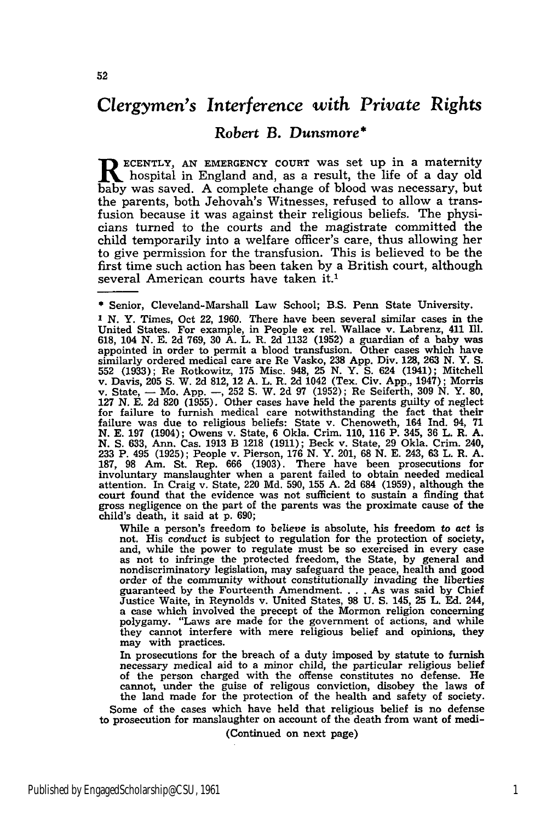## *Clergymen's Interference* with *Private Rights*

### *Robert* B. *Dunsmore* **\***

**T** ECENTLY, AN EMERGENCY COURT was set up in a maternity hospital in England and, as a result, the life of a day old baby was saved. A complete change of blood was necessary, but the parents, both Jehovah's Witnesses, refused to allow a transfusion because it was against their religious beliefs. The physicians turned to the courts and the magistrate committed the child temporarily into a welfare officer's care, thus allowing her to give permission for the transfusion. This is believed to be the first time such action has been taken by a British court, although several American courts have taken **it.1**

While a person's freedom to *believe* is absolute, his freedom to act is not. His conduct is subject to regulation for the protection of society, and, while the power to regulate must be so exercised in every case as not to infringe the protected freedom, the State, by general and nondiscriminatory legislation, may safeguard the peace, health and good order of the community without constitutionally invading the liberties guaranteed **by** the Fourteenth Amendment.... As was said by Chief Justice Waite, in Reynolds v. United States, **98 U. S.** 145, **25** L. **Ed.** 244, a case which involved the precept of the Mormon religion concerning a case which involved the precept of the Mormon religion concerning<br>polygamy. "Laws are made for the government of actions, and while they cannot interfere with mere religious belief and opinions, they may with practices.

In prosecutions for the breach of a duty imposed by statute to furnish necessary medical aid to a minor child, the particular religious belief of the person charged with the offense constitutes no defense. He cannot, under the guise of religous conviction, disobey the laws of the land made for the protection of the health and safety of society. Some of the cases which have held that religious belief is no defense

to prosecution for manslaughter on account of the death from want of medi- (Continued on next page)

<sup>\*</sup>Senior, Cleveland-Marshall Law School; B.S. Penn State University.

**I** N. Y. Times, Oct 22, **1960.** There have been several similar cases in the United States. For example, in People ex rel. Wallace v. Labrenz, 411 Ill. **618,** 104 **N. E. 2d 769, 30 A.** L. R. **2d 1132 (1952)** a guardian of a baby was appointed in order to permit a blood transfusion. Other cases which have similarly ordered medical care are Re Vasko, **238 App.** Div. **128, 263 N.** Y. **S. 552 (1933);** Re Rotkowitz, **175** Misc. 948, **25 N.** Y. **S.** 624 (1941); Mitchell v. Davis, **205 S.** W. **2d 812,** 12 **A.** L. R. **2d** 1042 (Tex. Civ. **App.,** 1947); Morris v. State,  $-$  Mo. App.  $-$ , 252 S. W. 2d 97 (1952); Re Seiferth, 309 N. Y. 80, 127 N. E. 2d 820 (1955). Other cases have held the parents guilty of neglect for failure to furnish medical care notwithstanding the fact that N. S. 633, Ann. Cas. 1913 B 1218 (1911); Beck v. State, 29 Okla. Crim. 240.<br>233 P. 495 (1925); People v. Pierson, 176 N. Y. 201, 68 N. E. 243, 63 L. R. A.<br>187, 98 Am. St. Rep. 666 (1903). There have been prosecutions for involuntary manslaughter when a parent failed to obtain needed medical attention. In Craig v. State, 220 **Md. 590, 155 A. 2d** 684 **(1959),** although the court found that the evidence was not sufficient to sustain a finding that court found that the evidence was not sufficient to sustain a finding that gross negligence on the part of the parents was the proximate cause of the child's death, it said at **p. 690;**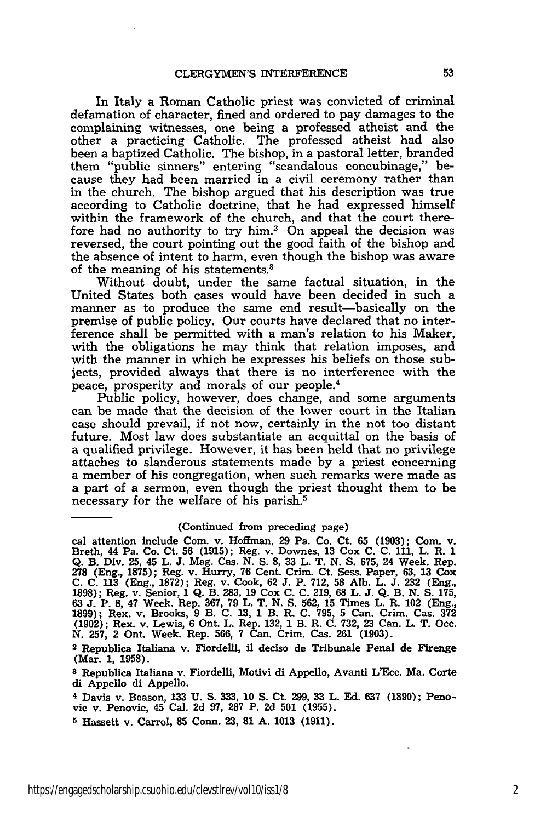In Italy a Roman Catholic priest was convicted of criminal defamation of character, fined and ordered to pay damages to the complaining witnesses, one being a professed atheist and the other a practicing Catholic. The professed atheist had also been a baptized Catholic. The bishop, in a pastoral letter, branded them "public sinners" entering "scandalous concubinage," because they had been married in a civil ceremony rather than in the church. The bishop argued that his description was true according to Catholic doctrine, that he had expressed himself within the framework of the church, and that the court therefore had no authority to try him.<sup>2</sup> On appeal the decision was reversed, the court pointing out the good faith of the bishop and the absence of intent to harm, even though the bishop was aware of the meaning of his statements.

Without doubt, under the same factual situation, in the United States both cases would have been decided in such a manner as to produce the same end result-basically on the premise of public policy. Our courts have declared that no interference shall be permitted with a man's relation to his Maker, with the obligations he may think that relation imposes, and with the manner in which he expresses his beliefs on those subjects, provided always that there is no interference with the peace, prosperity and morals of our people. <sup>4</sup>

Public policy, however, does change, and some arguments can be made that the decision of the lower court in the Italian case should prevail, if not now, certainly in the not too distant future. Most law does substantiate an acquittal on the basis of a qualified privilege. However, it has been held that no privilege attaches to slanderous statements made by a priest concerning a member of his congregation, when such remarks were made as a part of a sermon, even though the priest thought them to be necessary for the welfare of his parish.<sup>5</sup>

#### (Continued from preceding page)

cal attention include Com. v. Hoffman, **29** Pa. Co. Ct. **65 (1903);** Com. v. Breth, 44 Pa. Co. Ct. **56 (1915);** Reg. v. Downes, **13** Cox **C. C. 111,** L. R. **<sup>1</sup> Q.** B. Div. **25,** 45 L. **J.** Mag. Cas. **N. S. 8, 33** L. T. **N. S. 675,** 24 Week. Rep. **278** (Eng., **1875);** Reg. v. Hurry, **76** Cent. Crim. Ct. Sess. Paper, **63, 13** Cox **C. C. 113** (Eng., **1872);** Reg. v. Cook, **62 J.** P. **712, 58 Alb.** L. **J. 232** (Eng., **1898);** Reg. v. Senior, **1 Q.** B. **283, 19** Cox **C. C. 219, 68** L. **J. Q.** B. **N. S. 175, 63 J.** P. **8,** 47 Week. Rep. **367, 79** L. T. **N. S. 562, 15** Times L. R. 102 (Eng., **1899);** Rex. v. Brooks, **9** B. **C. 13, 1** B. R. **C. 795, 5** Can. Crim. Cas. **<sup>372</sup> (1902);** Rex. v. Lewis, **6** Ont. L. Rep. **132, 1** B. R. **C. 732, 23** Can. L. T. Occ. **N. 257,** 2 Ont. Week. Rep. **566, 7** Can. Crim. Cas. **261 (1903).**

**<sup>2</sup>**Republica Italiana v. Fiordelli, **il** deciso de Tribunale Penal de Firenge (Mar. **1, 1958).**

**<sup>8</sup>** Republica Italiana v. Fiordelli, Motivi di Appello, Avanti L'Ecc. Ma. Corte di Appello di Appello.

**<sup>4</sup>** Davis v. Beason, **133 U. S. 333, 10 S.** Ct. **299, 33** L. **Ed. 637 (1890);** Penovic v. Penovic, 45 Cal. **2d 97, 287** P. **2d 501 (1955).**

**<sup>5</sup>**Hassett v. Carrol, **85 Conn. 23, 81 A. 1013 (1911).**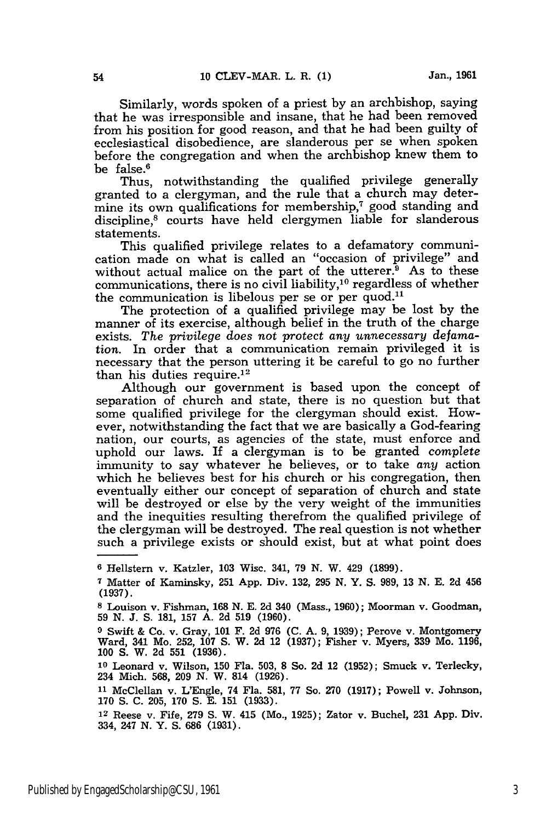Similarly, words spoken of a priest by an archbishop, saying that he was irresponsible and insane, that he had been removed from his position for good reason, and that he had been guilty of ecclesiastical disobedience, are slanderous per se when spoken before the congregation and when the archbishop knew them to be false.<sup>6</sup>

Thus, notwithstanding the qualified privilege generally granted to a clergyman, and the rule that a church may determine its own qualifications for membership, $\tau$  good standing and discipline,<sup>8</sup> courts have held clergymen liable for slanderous statements.

This qualified privilege relates to a defamatory communication made on what is called an "occasion of privilege" and without actual malice on the part of the utterer. $9$  As to these communications, there is no civil liability,<sup>10</sup> regardless of whether the communication is libelous per se or per quod.<sup>11</sup>

The protection of a qualified privilege may be lost by the manner of its exercise, although belief in the truth of the charge exists. *The privilege does* not protect *any unnecessary defamation.* In order that a communication remain privileged it is necessary that the person uttering it be careful to go no further than his duties require. $12$ 

Although our government is based upon the concept of separation of church and state, there is no question but that some qualified privilege for the clergyman should exist. However, notwithstanding the fact that we are basically a God-fearing nation, our courts, as agencies of the state, must enforce and uphold our laws. If a clergyman is to be granted complete immunity to say whatever he believes, or to take *any* action which he believes best for his church or his congregation, then eventually either our concept of separation of church and state will be destroyed or else by the very weight of the immunities and the inequities resulting therefrom the qualified privilege of the clergyman will be destroyed. The real question is not whether such a privilege exists or should exist, but at what point does

**<sup>6</sup>** Hellstern v. Katzler, **103** Wisc. 341, **79 N.** W. 429 **(1899).**

**<sup>7</sup>** Matter of Kaminsky, **251** App. Div. 132, **295** N. Y. S. 989, 13 N. E. 2d 456 **(1937).**

**<sup>8</sup>** Louison v. Fishman, 168 N. **E. 2d** 340 (Mass., 1960); Moorman v. Goodman, 59 N. **J. S.** 181, 157 **A. 2d** 519 (1960).

**<sup>9</sup>** Swift & Co. v. Gray, 101 F. **2d** 976 (C. A. 9, 1939); Perove v. Montgomery Ward, 341 Mo. 252, 107 S. W. **2d** 12 (1937); Fisher v. Myers, 339 Mo. 1196, 100 **S.** W. **2d** 551 (1936).

**<sup>10</sup>**Leonard v. Wilson, 150 Fla. 503, 8 So. 2d 12 (1952); Smuck v. Terlecky, 234 Mich. 568, 209 N. W. 814 (1926).

**<sup>11</sup>**McClellan v. L'Engle, 74 Fla. 581, 77 So. 270 (1917); Powell v. Johnson, **170 S.** C. 205, 170 **S. E.** 151 (1933).

<sup>12</sup> Reese v. Fife, 279 **S.** W. 415 (Mo., 1925); Zator v. Buchel, 231 **App.** Div. 334, 247 **N.** Y. S. 686 (1931).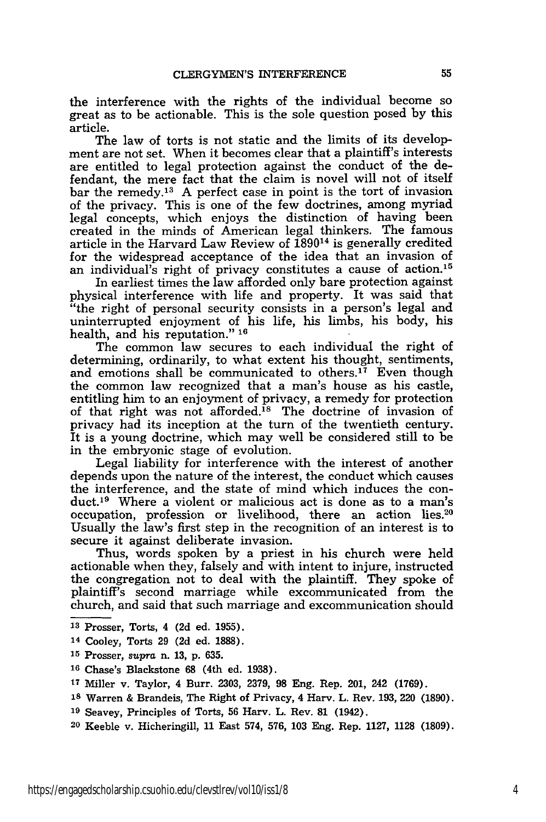the interference with the rights of the individual become so great as to be actionable. This is the sole question posed by this article.

The law of torts is not static and the limits of its development are not set. When it becomes clear that a plaintiff's interests are entitled to legal protection against the conduct of the defendant, the mere fact that the claim is novel will not of itself bar the remedy.13 A perfect case in point is the tort of invasion of the privacy. This is one of the few doctrines, among myriad legal concepts, which enjoys the distinction of having been created in the minds of American legal thinkers. The famous article in the Harvard Law Review of 189014 is generally credited for the widespread acceptance of the idea that an invasion of an individual's right of privacy constitutes a cause of action.15

In earliest times the law afforded only bare protection against physical interference with life and property. It was said that "the right of personal security consists in a person's legal and uninterrupted enjoyment of his life, his limbs, his body, his health, and his reputation." **16**

The common law secures to each individual the right of determining, ordinarily, to what extent his thought, sentiments, and emotions shall be communicated to others.<sup>17</sup> Even though the common law recognized that a man's house as his castle, entitling him to an enjoyment of privacy, a remedy for protection of that right was not afforded.<sup>18</sup> The doctrine of invasion of privacy had its inception at the turn of the twentieth century. It is a young doctrine, which may well be considered still to be in the embryonic stage of evolution.

Legal liability for interference with the interest of another depends upon the nature of the interest, the conduct which causes the interference, and the state of mind which induces the conduct.19 Where a violent or malicious act is done as to a man's occupation, profession or livelihood, there an action lies.<sup>20</sup> Usually the law's first step in the recognition of an interest is to secure it against deliberate invasion.

Thus, words spoken by a priest in his church were held actionable when they, falsely and with intent to injure, instructed the congregation not to deal with the plaintiff. They spoke of plaintiff's second marriage while excommunicated from the church, and said that such marriage and excommunication should

- **<sup>13</sup>**Prosser, Torts, 4 **(2d** ed. **1955).**
- 14 Cooley, Torts **29 (2d** ed. **1888).**
- **<sup>15</sup>**Prosser, *supra* n. **13, p. 635.**

- **<sup>18</sup>**Warren & Brandeis, The Right of Privacy, 4 Harv. L. Rev. **193, 220 (1890).**
- **<sup>19</sup>**Seavey, Principles of Torts, **56** Harv. L. Rev. **81** (1942).
- **20** Keeble v. Hicheringill, **11** East 574, **576, 103** Eng. Rep. **1127, 1128 (1809).**

**<sup>16</sup>** Chase's Blackstone **68** (4th ed. **1938).**

**<sup>17</sup>**Miller v. Taylor, 4 Burr. **2303, 2379, 98** Eng. Rep. 201, 242 **(1769).**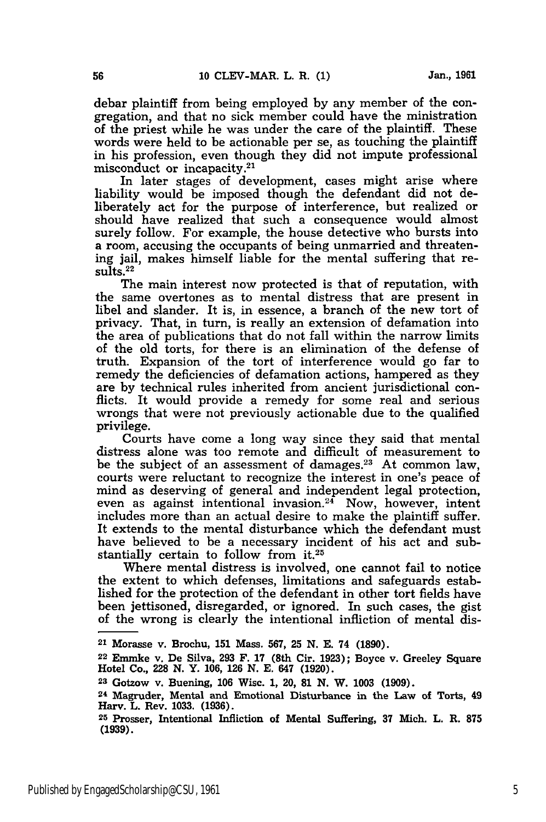debar plaintiff from being employed by any member of the congregation, and that no sick member could have the ministration of the priest while he was under the care of the plaintiff. These words were held to be actionable per se, as touching the plaintiff in his profession, even though they did not impute professional misconduct or incapacity. <sup>21</sup>

In later stages of development, cases might arise where liability would be imposed though the defendant did not deliberately act for the purpose of interference, but realized or should have realized that such a consequence would almost surely follow. For example, the house detective who bursts into a room, accusing the occupants of being unmarried and threatening jail, makes himself liable for the mental suffering that results.<sup>22</sup>

The main interest now protected is that of reputation, with the same overtones as to mental distress that are present in libel and slander. It is, in essence, a branch of the new tort of privacy. That, in turn, is really an extension of defamation into the area of publications that do not fall within the narrow limits of the old torts, for there is an elimination of the defense of truth. Expansion of the tort of interference would go far to remedy the deficiencies of defamation actions, hampered as they are by technical rules inherited from ancient jurisdictional conflicts. It would provide a remedy for some real and serious wrongs that were not previously actionable due to the qualified privilege.

Courts have come a long way since they said that mental distress alone was too remote and difficult of measurement to be the subject of an assessment of damages.<sup>23</sup> At common law, courts were reluctant to recognize the interest in one's peace of mind as deserving of general and independent legal protection, even as against intentional invasion.<sup>24</sup> Now, however, intent includes more than an actual desire to make the plaintiff suffer. It extends to the mental disturbance which the defendant must have believed to be a necessary incident of his act and substantially certain to follow from it.25

Where mental distress is involved, one cannot fail to notice the extent to which defenses, limitations and safeguards established for the protection of the defendant in other tort fields have been jettisoned, disregarded, or ignored. In such cases, the gist of the wrong is clearly the intentional infliction of mental dis-

<sup>21</sup> Morasse v. Brochu, 151 Mass. **567, 25** N. **E.** 74 **(1890).**

**<sup>22</sup>** Emmke v. De Silva, **293** F. **17** (8th Cir. **1923);** Boyce v. Greeley Square Hotel Co., **228 N.** Y. **106, 126 N. E.** 647 **(1920).**

**<sup>23</sup>** Gotzow v. Buening, **106 Wisc. 1,** 20, **81 N.** W. **1003 (1909).**

**<sup>24</sup>** Magruder, Mental and Emotional Disturbance in the Law of Torts, 49 Harv. L. Rev. **1033. (1936).**

**<sup>25</sup>**Prosser, Intentional Infliction of Mental Suffering, **37** Mich. L. R. **875 (1939).**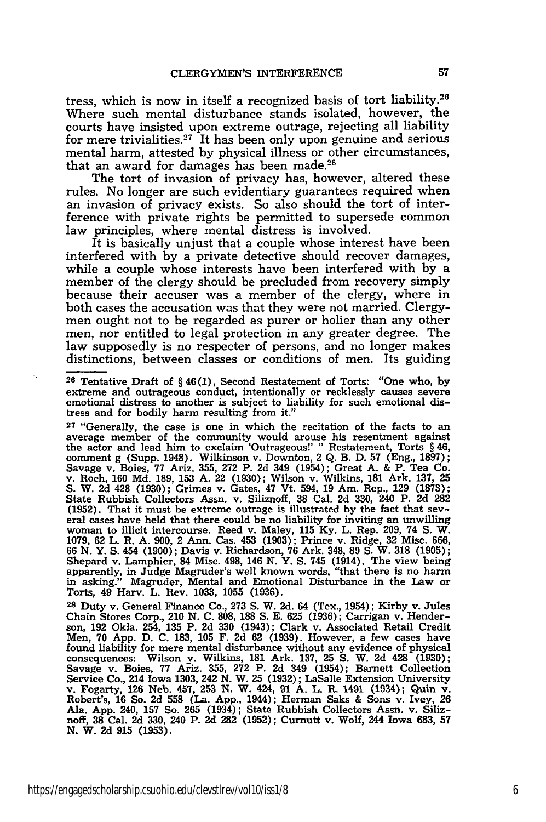tress, which is now in itself a recognized basis of tort liability.28 Where such mental disturbance stands isolated, however, the courts have insisted upon extreme outrage, rejecting all liability for mere trivialities.<sup>27</sup> It has been only upon genuine and serious mental harm, attested **by** physical illness or other circumstances, that an award for damages has been made.<sup>28</sup>

The tort of invasion of privacy has, however, altered these rules. No longer are such evidentiary guarantees required when an invasion of privacy exists. So also should the tort of interference with private rights be permitted to supersede common law principles, where mental distress is involved.

It is basically unjust that a couple whose interest have been interfered with **by** a private detective should recover damages, while a couple whose interests have been interfered with **by** a member of the clergy should be precluded from recovery simply because their accuser was a member of the clergy, where in both cases the accusation was that they were not married. Clergymen ought not to be regarded as purer or holier than any other men, nor entitled to legal protection in any greater degree. The law supposedly is no respecter of persons, and no longer makes distinctions, between classes or conditions of men. Its guiding

**<sup>26</sup>**Tentative Draft of § **46 (1),** Second Restatement of Torts: "One who, **by** extreme and outrageous conduct, intentionally or recklessly causes severe emotional distress to another is subject to liability for such emotional distress and for bodily harm resulting from it."

**<sup>27</sup>**"Generally, the case is one in which the recitation of the facts to an average member of the community would arouse his resentment against the actor and lead him to exclaim 'Outrageous!' " Restatement, Torts § 46, comment g (Supp. 1948). Wilkinson v. Downton, 2 Q. B. D. 57 (Eng., 1897); Savage v. Boies, 77 Ariz. 355, 272 P. 2d 349 (1954); Great A. & P. Tea Co v. Roch, **160 Md. 189, 153 A.** 22 **(1930);** Wilson v. Wilkins, **181** Ark. **137, 25 S.** W. **2d** 428 **(1930);** Grimes v. Gates, 47 Vt. 594, **19** Am. Rep., **129 (1873);** State Rubbish Collectors Assn. v. Siliznoff, **38** Cal. **2d 330,** 240 P. **2d 282 (1952).** That it must be extreme outrage is illustrated **by** the fact that several cases have held that there could be no liability for inviting an unwilling woman to illicit intercourse. Reed v. Maley, **115 Ky.** L. Rep. **209,** 74 **S.** W. **1079, 62** L. R. **A. 900,** 2 Ann. Cas. 453 **(1903);** Prince v. Ridge, **32** Misc. **666,** 66 N. Y. S. 454 (1900); Davis v. Richardson, 76 Ark. 348, 89 S. W. 318 (1905); Shepard v. Lamphier, 84 Misc. 498, 146 N. Y. S. 745 (1914). The view being apparently, in Judge Magruder's well known words, "that there is no Torts, 49 Harv. L. Rev. **1033, 1055 (1936).**

**<sup>28</sup>**Duty v. General Finance Co., **273 S.** W. **2d.** 64 (Tex., 1954); Kirby v. Jules Chain Stores Corp., 210 **N. C. 808, 188 S. E. 625 (1936);** Carrigan v. Hender-son, **192** Okla. 254, **135** P. **2d 330** (1943); Clark v. Associated Retail Credit Men, **70 App. D. C. 183, 105** F. **2d 62 (1939).** However, a few cases have found liability for mere mental disturbance without any evidence of physical consequences: Wilson **y.** Wilkins, **181** Ark. **137, 25 S.** W. **2d** 428 **(1930);** Savage v. Boies, **77** Ariz. **355, 272** P. **2d** 349 (1954); Barnett Collection Service Co., 214 Iowa **1303,** 242 **N.** W. **25 (1932);** LaSalle Extension University v. Fogarty, **126** Neb. 457, **253 N.** W. 424, **91 A.** L. R. 1491 (1934); Quin v. Robert's, **16** So. **2d 558** (La. **App.,** 1944); Herman Saks & Sons v. Ivey, **<sup>26</sup>** Ala. **App.** 240, **157** So. **265** (1934); State Rubbish Collectors Assn. v. Siliz-noff, **38** Cal. **2d 330,** 240 P. **2d 282 (1952);** Curnutt v. Wolf, 244 Iowa **683, 57 N.** W. **2d 915 (1953).**